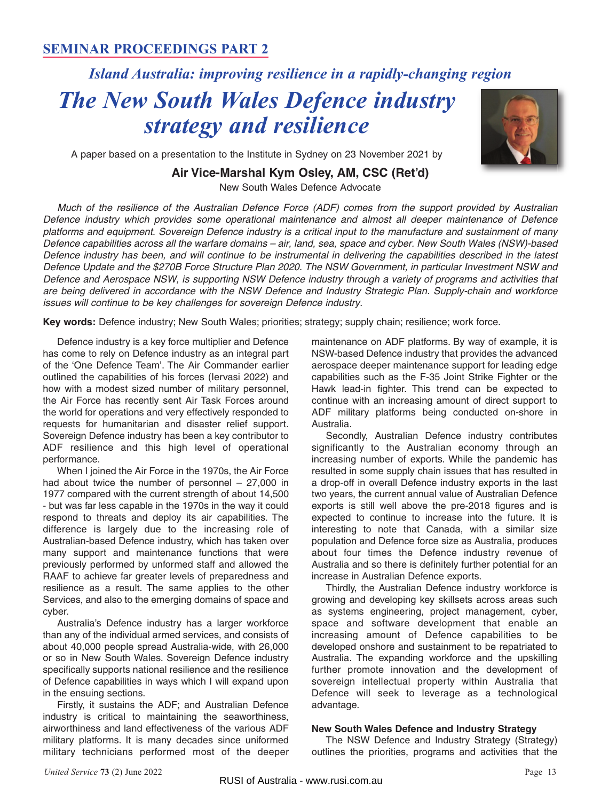## **SEMINAR PROCEEDINGS PART 2**

# *Island Australia: improving resilience in a rapidly-changing region*

# *The New South Wales Defence industry strategy and resilience*



A paper based on a presentation to the Institute in Sydney on 23 November 2021 by

### **Air Vice-Marshal Kym Osley, AM, CSC (Ret'd)**

New South Wales Defence Advocate

Much of the resilience of the Australian Defence Force (ADF) comes from the support provided by Australian Defence industry which provides some operational maintenance and almost all deeper maintenance of Defence platforms and equipment. Sovereign Defence industry is a critical input to the manufacture and sustainment of many Defence capabilities across all the warfare domains – air, land, sea, space and cyber. New South Wales (NSW)-based Defence industry has been, and will continue to be instrumental in delivering the capabilities described in the latest Defence Update and the \$270B Force Structure Plan 2020. The NSW Government, in particular Investment NSW and Defence and Aerospace NSW, is supporting NSW Defence industry through a variety of programs and activities that are being delivered in accordance with the NSW Defence and Industry Strategic Plan. Supply-chain and workforce issues will continue to be key challenges for sovereign Defence industry.

**Key words:** Defence industry; New South Wales; priorities; strategy; supply chain; resilience; work force.

Defence industry is a key force multiplier and Defence has come to rely on Defence industry as an integral part of the 'One Defence Team'. The Air Commander earlier outlined the capabilities of his forces (Iervasi 2022) and how with a modest sized number of military personnel, the Air Force has recently sent Air Task Forces around the world for operations and very effectively responded to requests for humanitarian and disaster relief support. Sovereign Defence industry has been a key contributor to ADF resilience and this high level of operational performance.

When I joined the Air Force in the 1970s, the Air Force had about twice the number of personnel – 27,000 in 1977 compared with the current strength of about 14,500 - but was far less capable in the 1970s in the way it could respond to threats and deploy its air capabilities. The difference is largely due to the increasing role of Australian-based Defence industry, which has taken over many support and maintenance functions that were previously performed by unformed staff and allowed the RAAF to achieve far greater levels of preparedness and resilience as a result. The same applies to the other Services, and also to the emerging domains of space and cyber.

Australia's Defence industry has a larger workforce than any of the individual armed services, and consists of about 40,000 people spread Australia-wide, with 26,000 or so in New South Wales. Sovereign Defence industry specifically supports national resilience and the resilience of Defence capabilities in ways which I will expand upon in the ensuing sections.

Firstly, it sustains the ADF; and Australian Defence industry is critical to maintaining the seaworthiness, airworthiness and land effectiveness of the various ADF military platforms. It is many decades since uniformed military technicians performed most of the deeper

maintenance on ADF platforms. By way of example, it is NSW-based Defence industry that provides the advanced aerospace deeper maintenance support for leading edge capabilities such as the F-35 Joint Strike Fighter or the Hawk lead-in fighter. This trend can be expected to continue with an increasing amount of direct support to ADF military platforms being conducted on-shore in Australia.

Secondly, Australian Defence industry contributes significantly to the Australian economy through an increasing number of exports. While the pandemic has resulted in some supply chain issues that has resulted in a drop-off in overall Defence industry exports in the last two years, the current annual value of Australian Defence exports is still well above the pre-2018 figures and is expected to continue to increase into the future. It is interesting to note that Canada, with a similar size population and Defence force size as Australia, produces about four times the Defence industry revenue of Australia and so there is definitely further potential for an increase in Australian Defence exports.

Thirdly, the Australian Defence industry workforce is growing and developing key skillsets across areas such as systems engineering, project management, cyber, space and software development that enable an increasing amount of Defence capabilities to be developed onshore and sustainment to be repatriated to Australia. The expanding workforce and the upskilling further promote innovation and the development of sovereign intellectual property within Australia that Defence will seek to leverage as a technological advantage.

#### **New South Wales Defence and Industry Strategy**

The NSW Defence and Industry Strategy (Strategy) outlines the priorities, programs and activities that the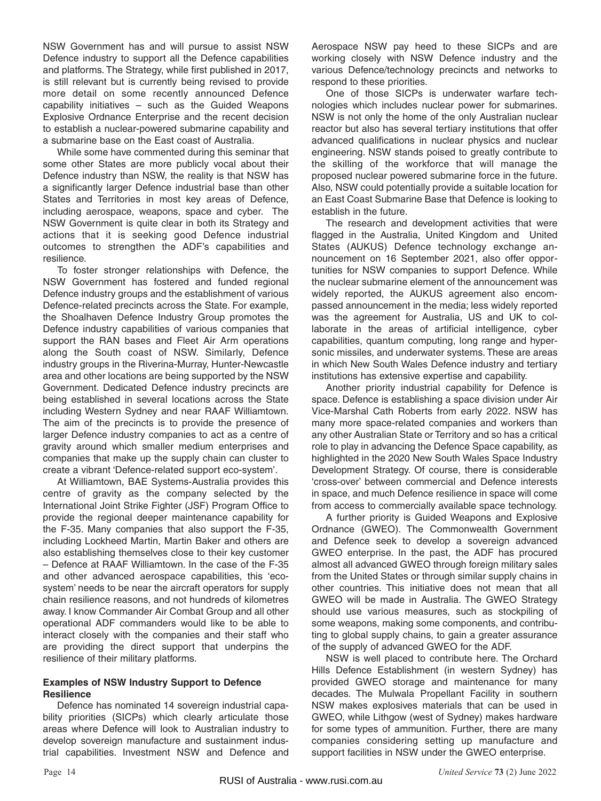NSW Government has and will pursue to assist NSW Defence industry to support all the Defence capabilities and platforms. The Strategy, while first published in 2017, is still relevant but is currently being revised to provide more detail on some recently announced Defence capability initiatives – such as the Guided Weapons Explosive Ordnance Enterprise and the recent decision to establish a nuclear-powered submarine capability and a submarine base on the East coast of Australia.

While some have commented during this seminar that some other States are more publicly vocal about their Defence industry than NSW, the reality is that NSW has a significantly larger Defence industrial base than other States and Territories in most key areas of Defence, including aerospace, weapons, space and cyber. The NSW Government is quite clear in both its Strategy and actions that it is seeking good Defence industrial outcomes to strengthen the ADF's capabilities and resilience.

To foster stronger relationships with Defence, the NSW Government has fostered and funded regional Defence industry groups and the establishment of various Defence-related precincts across the State. For example, the Shoalhaven Defence Industry Group promotes the Defence industry capabilities of various companies that support the RAN bases and Fleet Air Arm operations along the South coast of NSW. Similarly, Defence industry groups in the Riverina-Murray, Hunter-Newcastle area and other locations are being supported by the NSW Government. Dedicated Defence industry precincts are being established in several locations across the State including Western Sydney and near RAAF Williamtown. The aim of the precincts is to provide the presence of larger Defence industry companies to act as a centre of gravity around which smaller medium enterprises and companies that make up the supply chain can cluster to create a vibrant 'Defence-related support eco-system'.

At Williamtown, BAE Systems-Australia provides this centre of gravity as the company selected by the International Joint Strike Fighter (JSF) Program Office to provide the regional deeper maintenance capability for the F-35. Many companies that also support the F-35, including Lockheed Martin, Martin Baker and others are also establishing themselves close to their key customer – Defence at RAAF Williamtown. In the case of the F-35 and other advanced aerospace capabilities, this 'ecosystem' needs to be near the aircraft operators for supply chain resilience reasons, and not hundreds of kilometres away. I know Commander Air Combat Group and all other operational ADF commanders would like to be able to interact closely with the companies and their staff who are providing the direct support that underpins the resilience of their military platforms.

#### **Examples of NSW Industry Support to Defence Resilience**

Defence has nominated 14 sovereign industrial capability priorities (SICPs) which clearly articulate those areas where Defence will look to Australian industry to develop sovereign manufacture and sustainment industrial capabilities. Investment NSW and Defence and

Aerospace NSW pay heed to these SICPs and are working closely with NSW Defence industry and the various Defence/technology precincts and networks to respond to these priorities.

One of those SICPs is underwater warfare technologies which includes nuclear power for submarines. NSW is not only the home of the only Australian nuclear reactor but also has several tertiary institutions that offer advanced qualifications in nuclear physics and nuclear engineering. NSW stands poised to greatly contribute to the skilling of the workforce that will manage the proposed nuclear powered submarine force in the future. Also, NSW could potentially provide a suitable location for an East Coast Submarine Base that Defence is looking to establish in the future.

The research and development activities that were flagged in the Australia, United Kingdom and United States (AUKUS) Defence technology exchange announcement on 16 September 2021, also offer opportunities for NSW companies to support Defence. While the nuclear submarine element of the announcement was widely reported, the AUKUS agreement also encompassed announcement in the media; less widely reported was the agreement for Australia, US and UK to collaborate in the areas of artificial intelligence, cyber capabilities, quantum computing, long range and hypersonic missiles, and underwater systems. These are areas in which New South Wales Defence industry and tertiary institutions has extensive expertise and capability.

Another priority industrial capability for Defence is space. Defence is establishing a space division under Air Vice-Marshal Cath Roberts from early 2022. NSW has many more space-related companies and workers than any other Australian State or Territory and so has a critical role to play in advancing the Defence Space capability, as highlighted in the 2020 New South Wales Space Industry Development Strategy. Of course, there is considerable 'cross-over' between commercial and Defence interests in space, and much Defence resilience in space will come from access to commercially available space technology.

A further priority is Guided Weapons and Explosive Ordnance (GWEO). The Commonwealth Government and Defence seek to develop a sovereign advanced GWEO enterprise. In the past, the ADF has procured almost all advanced GWEO through foreign military sales from the United States or through similar supply chains in other countries. This initiative does not mean that all GWEO will be made in Australia. The GWEO Strategy should use various measures, such as stockpiling of some weapons, making some components, and contributing to global supply chains, to gain a greater assurance of the supply of advanced GWEO for the ADF.

NSW is well placed to contribute here. The Orchard Hills Defence Establishment (in western Sydney) has provided GWEO storage and maintenance for many decades. The Mulwala Propellant Facility in southern NSW makes explosives materials that can be used in GWEO, while Lithgow (west of Sydney) makes hardware for some types of ammunition. Further, there are many companies considering setting up manufacture and support facilities in NSW under the GWEO enterprise.